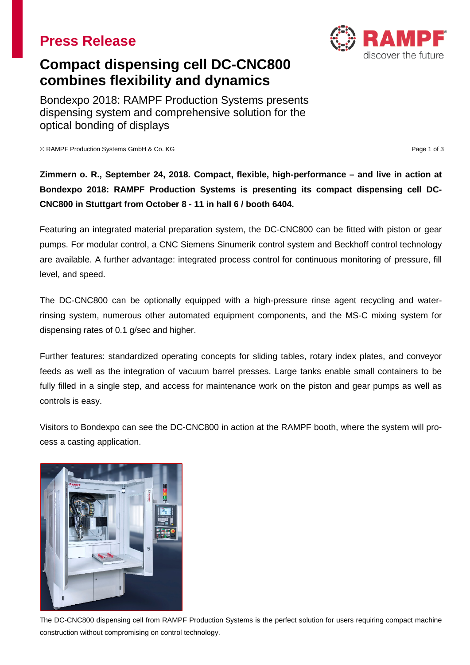## **Press Release**

# **Compact dispensing cell DC-CNC800 combines flexibility and dynamics**

Bondexpo 2018: RAMPF Production Systems presents dispensing system and comprehensive solution for the optical bonding of displays

© RAMPF Production Systems GmbH & Co. KG Page 1 of 3

**Zimmern o. R., September 24, 2018. Compact, flexible, high-performance – and live in action at Bondexpo 2018: RAMPF Production Systems is presenting its compact dispensing cell DC-CNC800 in Stuttgart from October 8 - 11 in hall 6 / booth 6404.**

Featuring an integrated material preparation system, the DC-CNC800 can be fitted with piston or gear pumps. For modular control, a CNC Siemens Sinumerik control system and Beckhoff control technology are available. A further advantage: integrated process control for continuous monitoring of pressure, fill level, and speed.

The DC-CNC800 can be optionally equipped with a high-pressure rinse agent recycling and waterrinsing system, numerous other automated equipment components, and the MS-C mixing system for dispensing rates of 0.1 g/sec and higher.

Further features: standardized operating concepts for sliding tables, rotary index plates, and conveyor feeds as well as the integration of vacuum barrel presses. Large tanks enable small containers to be fully filled in a single step, and access for maintenance work on the piston and gear pumps as well as controls is easy.

Visitors to Bondexpo can see the DC-CNC800 in action at the RAMPF booth, where the system will process a casting application.



The DC-CNC800 dispensing cell from RAMPF Production Systems is the perfect solution for users requiring compact machine construction without compromising on control technology.

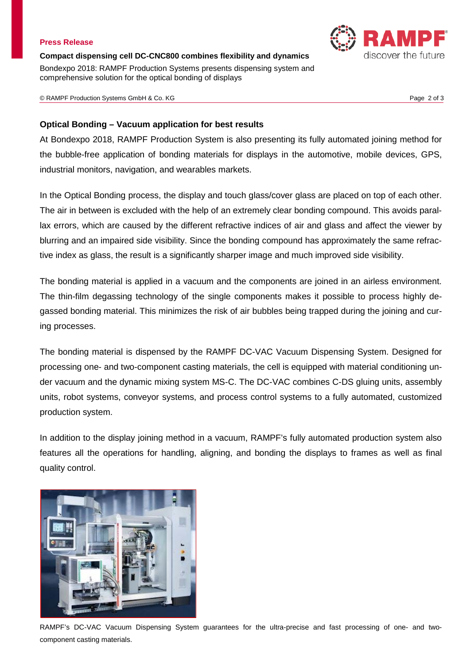### **Press Release**

**Compact dispensing cell DC-CNC800 combines flexibility and dynamics** Bondexpo 2018: RAMPF Production Systems presents dispensing system and comprehensive solution for the optical bonding of displays

© RAMPF Production Systems GmbH & Co. KG Page 2 of 3

## **Optical Bonding – Vacuum application for best results**

At Bondexpo 2018, RAMPF Production System is also presenting its fully automated joining method for the bubble-free application of bonding materials for displays in the automotive, mobile devices, GPS, industrial monitors, navigation, and wearables markets.

In the Optical Bonding process, the display and touch glass/cover glass are placed on top of each other. The air in between is excluded with the help of an extremely clear bonding compound. This avoids parallax errors, which are caused by the different refractive indices of air and glass and affect the viewer by blurring and an impaired side visibility. Since the bonding compound has approximately the same refractive index as glass, the result is a significantly sharper image and much improved side visibility.

The bonding material is applied in a vacuum and the components are joined in an airless environment. The thin-film degassing technology of the single components makes it possible to process highly degassed bonding material. This minimizes the risk of air bubbles being trapped during the joining and curing processes.

The bonding material is dispensed by the RAMPF DC-VAC Vacuum Dispensing System. Designed for processing one- and two-component casting materials, the cell is equipped with material conditioning under vacuum and the dynamic mixing system MS-C. The DC-VAC combines C-DS gluing units, assembly units, robot systems, conveyor systems, and process control systems to a fully automated, customized production system.

In addition to the display joining method in a vacuum, RAMPF's fully automated production system also features all the operations for handling, aligning, and bonding the displays to frames as well as final quality control.



RAMPF's DC-VAC Vacuum Dispensing System guarantees for the ultra-precise and fast processing of one- and twocomponent casting materials.